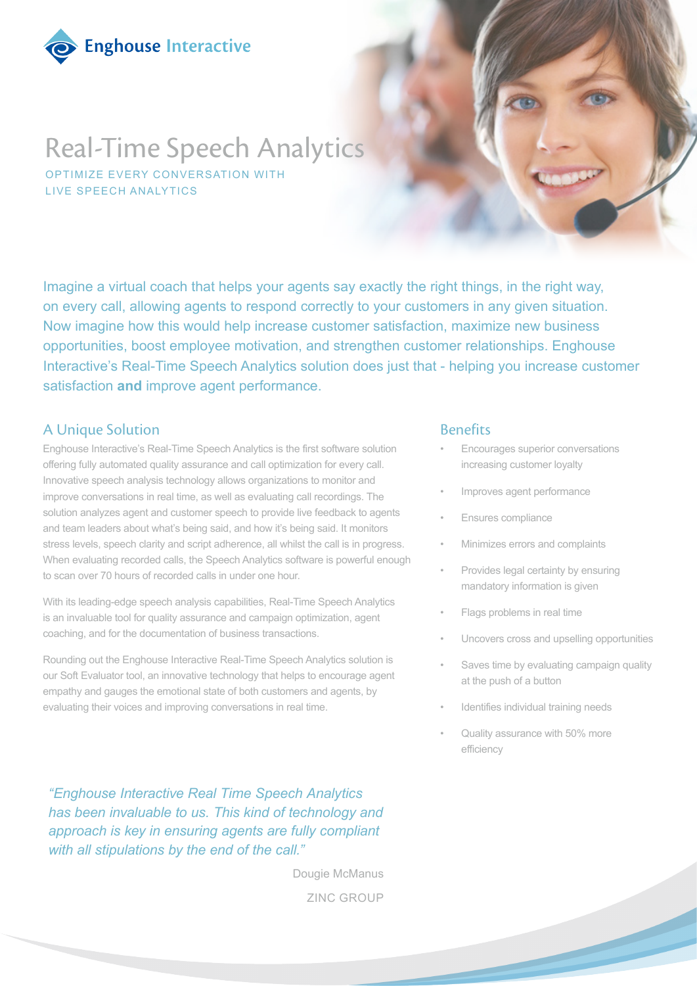

# Real-Time Speech Analytics

OPTIMIZE EVERY CONVERSATION WITH LIVE SPEECH ANALYTICS

Imagine a virtual coach that helps your agents say exactly the right things, in the right way, on every call, allowing agents to respond correctly to your customers in any given situation. Now imagine how this would help increase customer satisfaction, maximize new business opportunities, boost employee motivation, and strengthen customer relationships. Enghouse Interactive's Real-Time Speech Analytics solution does just that - helping you increase customer satisfaction **and** improve agent performance.

#### A Unique Solution

Enghouse Interactive's Real-Time Speech Analytics is the first software solution offering fully automated quality assurance and call optimization for every call. Innovative speech analysis technology allows organizations to monitor and improve conversations in real time, as well as evaluating call recordings. The solution analyzes agent and customer speech to provide live feedback to agents and team leaders about what's being said, and how it's being said. It monitors stress levels, speech clarity and script adherence, all whilst the call is in progress. When evaluating recorded calls, the Speech Analytics software is powerful enough to scan over 70 hours of recorded calls in under one hour.

With its leading-edge speech analysis capabilities, Real-Time Speech Analytics is an invaluable tool for quality assurance and campaign optimization, agent coaching, and for the documentation of business transactions.

Rounding out the Enghouse Interactive Real-Time Speech Analytics solution is our Soft Evaluator tool, an innovative technology that helps to encourage agent empathy and gauges the emotional state of both customers and agents, by evaluating their voices and improving conversations in real time.

*"Enghouse Interactive Real Time Speech Analytics has been invaluable to us. This kind of technology and approach is key in ensuring agents are fully compliant with all stipulations by the end of the call."* 

> ZINC GROUP Dougie McManus

#### Benefits

- Encourages superior conversations increasing customer loyalty
- Improves agent performance
- Ensures compliance
- Minimizes errors and complaints
- Provides legal certainty by ensuring mandatory information is given
- Flags problems in real time
- Uncovers cross and upselling opportunities
- Saves time by evaluating campaign quality at the push of a button
- Identifies individual training needs
- Quality assurance with 50% more efficiency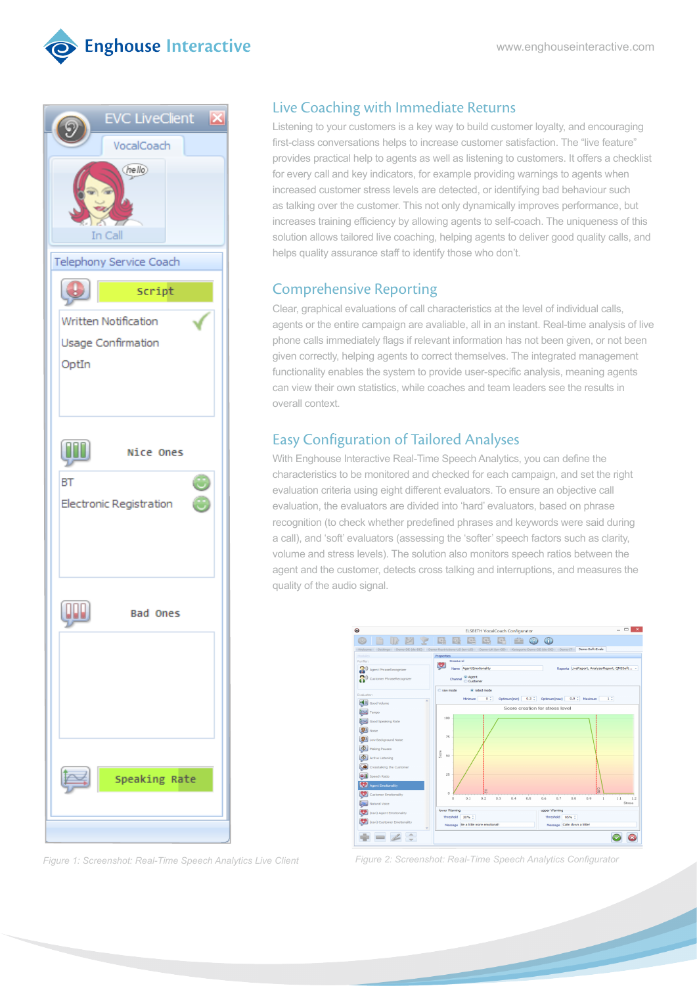



#### Live Coaching with Immediate Returns

Listening to your customers is a key way to build customer loyalty, and encouraging first-class conversations helps to increase customer satisfaction. The "live feature" provides practical help to agents as well as listening to customers. It offers a checklist for every call and key indicators, for example providing warnings to agents when increased customer stress levels are detected, or identifying bad behaviour such as talking over the customer. This not only dynamically improves performance, but increases training efficiency by allowing agents to self-coach. The uniqueness of this solution allows tailored live coaching, helping agents to deliver good quality calls, and helps quality assurance staff to identify those who don't.

## Comprehensive Reporting

Clear, graphical evaluations of call characteristics at the level of individual calls, agents or the entire campaign are avaliable, all in an instant. Real-time analysis of live phone calls immediately flags if relevant information has not been given, or not been given correctly, helping agents to correct themselves. The integrated management functionality enables the system to provide user-specific analysis, meaning agents can view their own statistics, while coaches and team leaders see the results in overall context.

# Easy Configuration of Tailored Analyses

With Enghouse Interactive Real-Time Speech Analytics, you can define the characteristics to be monitored and checked for each campaign, and set the right evaluation criteria using eight different evaluators. To ensure an objective call evaluation, the evaluators are divided into 'hard' evaluators, based on phrase recognition (to check whether predefined phrases and keywords were said during a call), and 'soft' evaluators (assessing the 'softer' speech factors such as clarity, volume and stress levels). The solution also monitors speech ratios between the agent and the customer, detects cross talking and interruptions, and measures the quality of the audio signal.



*Figure 1: Screenshot: Real-Time Speech Analytics Live Client Figure 2: Screenshot: Real-Time Speech Analytics Configurator*